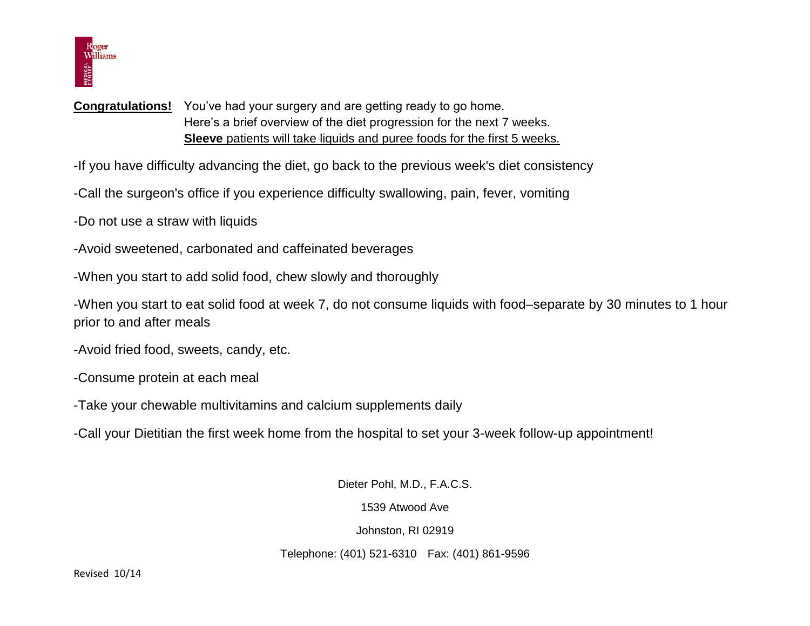

## **Congratulations!** You've had your surgery and are getting ready to go home. Here's a brief overview of the diet progression for the next 7 weeks. **Sleeve** patients will take liquids and puree foods for the first 5 weeks.

-If you have difficulty advancing the diet, go back to the previous week's diet consistency

-Call the surgeon's office if you experience difficulty swallowing, pain, fever, vomiting

-Do not use a straw with liquids

- -Avoid sweetened, carbonated and caffeinated beverages
- -When you start to add solid food, chew slowly and thoroughly

-When you start to eat solid food at week 7, do not consume liquids with food–separate by 30 minutes to 1 hour prior to and after meals

- -Avoid fried food, sweets, candy, etc.
- -Consume protein at each meal
- -Take your chewable multivitamins and calcium supplements daily
- -Call your Dietitian the first week home from the hospital to set your 3-week follow-up appointment!

Dieter Pohl, M.D., F.A.C.S.

1539 Atwood Ave

Johnston, RI 02919

Telephone: (401) 521-6310 Fax: (401) 861-9596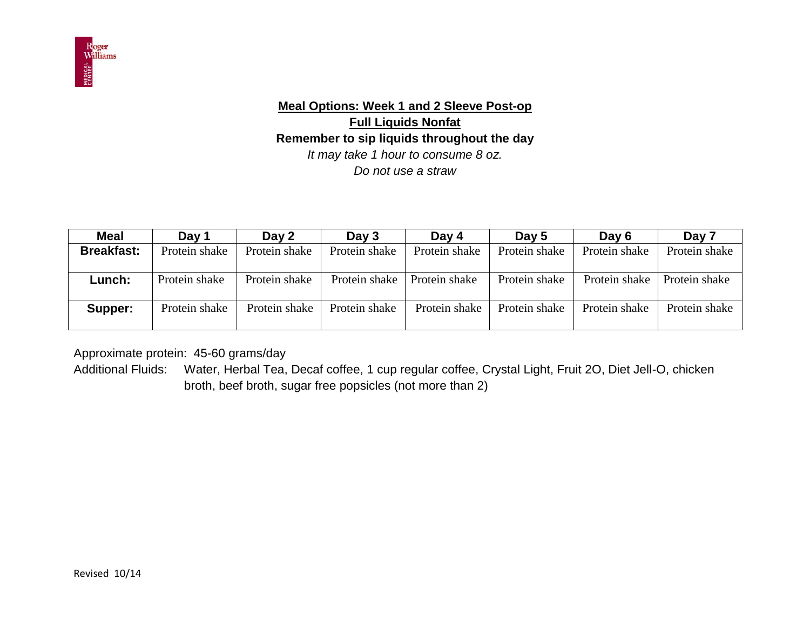

# **Meal Options: Week 1 and 2 Sleeve Post-op Full Liquids Nonfat Remember to sip liquids throughout the day** *It may take 1 hour to consume 8 oz. Do not use a straw*

| <b>Meal</b>       | Day 1         | Day 2         | Day 3         | Day 4         | Day 5         | Day 6         | Day 7         |
|-------------------|---------------|---------------|---------------|---------------|---------------|---------------|---------------|
| <b>Breakfast:</b> | Protein shake | Protein shake | Protein shake | Protein shake | Protein shake | Protein shake | Protein shake |
|                   |               |               |               |               |               |               |               |
| $L$ unch:         | Protein shake | Protein shake | Protein shake | Protein shake | Protein shake | Protein shake | Protein shake |
|                   |               |               |               |               |               |               |               |
| Supper:           | Protein shake | Protein shake | Protein shake | Protein shake | Protein shake | Protein shake | Protein shake |
|                   |               |               |               |               |               |               |               |

Approximate protein: 45-60 grams/day

Additional Fluids: Water, Herbal Tea, Decaf coffee, 1 cup regular coffee, Crystal Light, Fruit 2O, Diet Jell-O, chicken broth, beef broth, sugar free popsicles (not more than 2)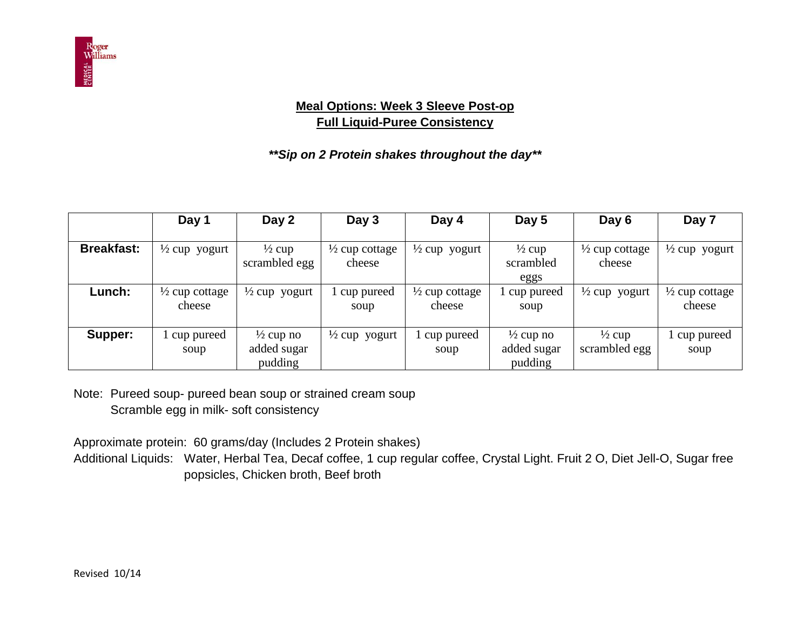

#### **Meal Options: Week 3 Sleeve Post-op Full Liquid-Puree Consistency**

## *\*\*Sip on 2 Protein shakes throughout the day\*\**

|                   | Day 1                               | Day 2                                          | Day 3                               | Day 4                               | Day 5                                          | Day 6                               | Day 7                               |
|-------------------|-------------------------------------|------------------------------------------------|-------------------------------------|-------------------------------------|------------------------------------------------|-------------------------------------|-------------------------------------|
| <b>Breakfast:</b> | $\frac{1}{2}$ cup yogurt            | $\frac{1}{2}$ cup<br>scrambled egg             | $\frac{1}{2}$ cup cottage<br>cheese | $\frac{1}{2}$ cup yogurt            | $\frac{1}{2}$ cup<br>scrambled<br>eggs         | $\frac{1}{2}$ cup cottage<br>cheese | $\frac{1}{2}$ cup yogurt            |
| Lunch:            | $\frac{1}{2}$ cup cottage<br>cheese | $\frac{1}{2}$ cup yogurt                       | cup pureed<br>soup                  | $\frac{1}{2}$ cup cottage<br>cheese | cup pureed<br>soup                             | $\frac{1}{2}$ cup yogurt            | $\frac{1}{2}$ cup cottage<br>cheese |
| Supper:           | cup pureed<br>soup                  | $\frac{1}{2}$ cup no<br>added sugar<br>pudding | $\frac{1}{2}$ cup yogurt            | 1 cup pureed<br>soup                | $\frac{1}{2}$ cup no<br>added sugar<br>pudding | $\frac{1}{2}$ cup<br>scrambled egg  | cup pureed<br>soup                  |

Note: Pureed soup- pureed bean soup or strained cream soup Scramble egg in milk- soft consistency

Approximate protein: 60 grams/day (Includes 2 Protein shakes)

Additional Liquids: Water, Herbal Tea, Decaf coffee, 1 cup regular coffee, Crystal Light. Fruit 2 O, Diet Jell-O, Sugar free popsicles, Chicken broth, Beef broth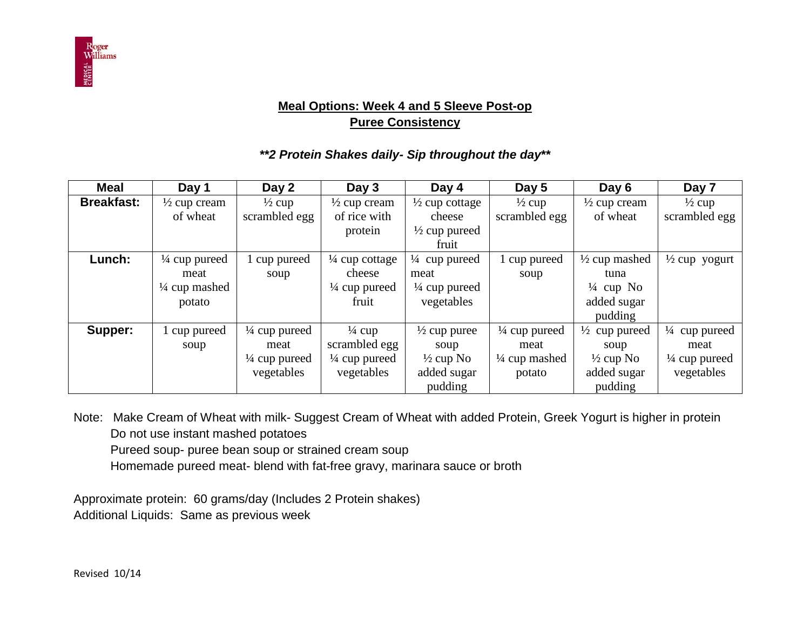

## **Meal Options: Week 4 and 5 Sleeve Post-op Puree Consistency**

#### *\*\*2 Protein Shakes daily- Sip throughout the day***\*\***

| <b>Meal</b>       | Day 1                    | Day 2                    | Day 3                     | Day 4                     | Day 5                    | Day 6                    | Day 7                    |
|-------------------|--------------------------|--------------------------|---------------------------|---------------------------|--------------------------|--------------------------|--------------------------|
| <b>Breakfast:</b> | $\frac{1}{2}$ cup cream  | $\frac{1}{2}$ cup        | $\frac{1}{2}$ cup cream   | $\frac{1}{2}$ cup cottage | $\frac{1}{2}$ cup        | $\frac{1}{2}$ cup cream  | $\frac{1}{2}$ cup        |
|                   | of wheat                 | scrambled egg            | of rice with              | cheese                    | scrambled egg            | of wheat                 | scrambled egg            |
|                   |                          |                          | protein                   | $\frac{1}{2}$ cup pureed  |                          |                          |                          |
|                   |                          |                          |                           | fruit                     |                          |                          |                          |
| Lunch:            | $\frac{1}{4}$ cup pureed | cup pureed               | $\frac{1}{4}$ cup cottage | $\frac{1}{4}$ cup pureed  | 1 cup pureed             | $\frac{1}{2}$ cup mashed | $\frac{1}{2}$ cup yogurt |
|                   | meat                     | soup                     | cheese                    | meat                      | soup                     | tuna                     |                          |
|                   | $\frac{1}{4}$ cup mashed |                          | $\frac{1}{4}$ cup pureed  | $\frac{1}{4}$ cup pureed  |                          | $\frac{1}{4}$ cup No     |                          |
|                   | potato                   |                          | fruit                     | vegetables                |                          | added sugar              |                          |
|                   |                          |                          |                           |                           |                          | pudding                  |                          |
| Supper:           | cup pureed               | $\frac{1}{4}$ cup pureed | $\frac{1}{4}$ cup         | $\frac{1}{2}$ cup puree   | $\frac{1}{4}$ cup pureed | $\frac{1}{2}$ cup pureed | $\frac{1}{4}$ cup pureed |
|                   | soup                     | meat                     | scrambled egg             | soup                      | meat                     | soup                     | meat                     |
|                   |                          | $\frac{1}{4}$ cup pureed | $\frac{1}{4}$ cup pureed  | $\frac{1}{2}$ cup No      | $\frac{1}{4}$ cup mashed | $\frac{1}{2}$ cup No     | $\frac{1}{4}$ cup pureed |
|                   |                          | vegetables               | vegetables                | added sugar               | potato                   | added sugar              | vegetables               |
|                   |                          |                          |                           | pudding                   |                          | pudding                  |                          |

Note: Make Cream of Wheat with milk- Suggest Cream of Wheat with added Protein, Greek Yogurt is higher in protein Do not use instant mashed potatoes

Pureed soup- puree bean soup or strained cream soup

Homemade pureed meat- blend with fat-free gravy, marinara sauce or broth

Approximate protein: 60 grams/day (Includes 2 Protein shakes) Additional Liquids: Same as previous week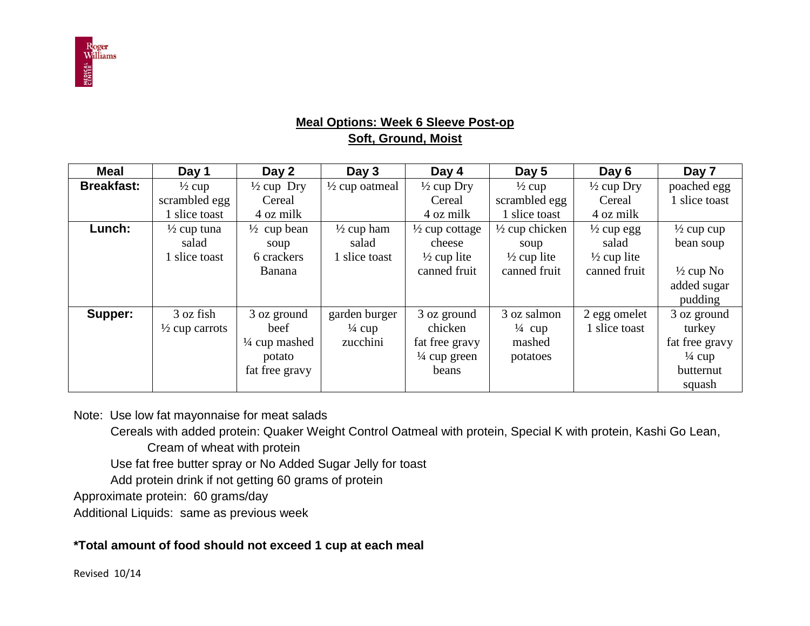

## **Meal Options: Week 6 Sleeve Post-op Soft, Ground, Moist**

| <b>Meal</b>       | Day 1                     | Day 2                    | Day 3                     | Day 4                     | Day 5                     | Day 6                  | Day 7                 |
|-------------------|---------------------------|--------------------------|---------------------------|---------------------------|---------------------------|------------------------|-----------------------|
| <b>Breakfast:</b> | $\frac{1}{2}$ cup         | $\frac{1}{2}$ cup Dry    | $\frac{1}{2}$ cup oatmeal | $\frac{1}{2}$ cup Dry     | $\frac{1}{2}$ cup         | $\frac{1}{2}$ cup Dry  | poached egg           |
|                   | scrambled egg             | Cereal                   |                           | Cereal                    | scrambled egg             | Cereal                 | slice toast           |
|                   | 1 slice toast             | 4 oz milk                |                           | 4 oz milk                 | 1 slice toast             | 4 oz milk              |                       |
| Lunch:            | $\frac{1}{2}$ cup tuna    | $\frac{1}{2}$ cup bean   | $\frac{1}{2}$ cup ham     | $\frac{1}{2}$ cup cottage | $\frac{1}{2}$ cup chicken | $\frac{1}{2}$ cup egg  | $\frac{1}{2}$ cup cup |
|                   | salad                     | soup                     | salad                     | cheese                    | soup                      | salad                  | bean soup             |
|                   | 1 slice toast             | 6 crackers               | 1 slice toast             | $\frac{1}{2}$ cup lite    | $\frac{1}{2}$ cup lite    | $\frac{1}{2}$ cup lite |                       |
|                   |                           | <b>Banana</b>            |                           | canned fruit              | canned fruit              | canned fruit           | $\frac{1}{2}$ cup No  |
|                   |                           |                          |                           |                           |                           |                        | added sugar           |
|                   |                           |                          |                           |                           |                           |                        | pudding               |
| Supper:           | 3 oz fish                 | 3 oz ground              | garden burger             | 3 oz ground               | 3 oz salmon               | 2 egg omelet           | 3 oz ground           |
|                   | $\frac{1}{2}$ cup carrots | beef                     | $\frac{1}{4}$ cup         | chicken                   | $\frac{1}{4}$ cup         | 1 slice toast          | turkey                |
|                   |                           | $\frac{1}{4}$ cup mashed | zucchini                  | fat free gravy            | mashed                    |                        | fat free gravy        |
|                   |                           | potato                   |                           | $\frac{1}{4}$ cup green   | potatoes                  |                        | $\frac{1}{4}$ cup     |
|                   |                           | fat free gravy           |                           | beans                     |                           |                        | butternut             |
|                   |                           |                          |                           |                           |                           |                        | squash                |

Note: Use low fat mayonnaise for meat salads

Cereals with added protein: Quaker Weight Control Oatmeal with protein, Special K with protein, Kashi Go Lean,

Cream of wheat with protein

Use fat free butter spray or No Added Sugar Jelly for toast

Add protein drink if not getting 60 grams of protein

Approximate protein: 60 grams/day

Additional Liquids: same as previous week

#### **\*Total amount of food should not exceed 1 cup at each meal**

Revised 10/14